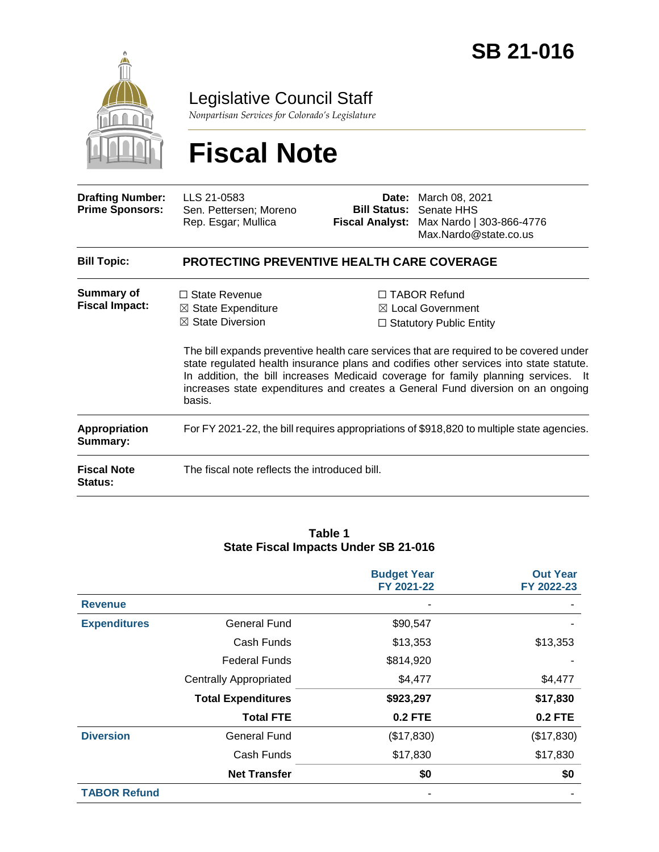

Legislative Council Staff

*Nonpartisan Services for Colorado's Legislature*

# **Fiscal Note**

| <b>Drafting Number:</b><br><b>Prime Sponsors:</b> | LLS 21-0583<br>Sen. Pettersen; Moreno<br>Rep. Esgar; Mullica                                   | Date:<br><b>Bill Status:</b><br><b>Fiscal Analyst:</b> | March 08, 2021<br>Senate HHS<br>Max Nardo   303-866-4776<br>Max.Nardo@state.co.us                                                                                                                                                                                                                                                                                                                                                                  |  |  |  |
|---------------------------------------------------|------------------------------------------------------------------------------------------------|--------------------------------------------------------|----------------------------------------------------------------------------------------------------------------------------------------------------------------------------------------------------------------------------------------------------------------------------------------------------------------------------------------------------------------------------------------------------------------------------------------------------|--|--|--|
| <b>Bill Topic:</b>                                | <b>PROTECTING PREVENTIVE HEALTH CARE COVERAGE</b>                                              |                                                        |                                                                                                                                                                                                                                                                                                                                                                                                                                                    |  |  |  |
| <b>Summary of</b><br><b>Fiscal Impact:</b>        | $\Box$ State Revenue<br>$\boxtimes$ State Expenditure<br>$\boxtimes$ State Diversion<br>basis. |                                                        | $\Box$ TABOR Refund<br>$\boxtimes$ Local Government<br>$\Box$ Statutory Public Entity<br>The bill expands preventive health care services that are required to be covered under<br>state regulated health insurance plans and codifies other services into state statute.<br>In addition, the bill increases Medicaid coverage for family planning services. It<br>increases state expenditures and creates a General Fund diversion on an ongoing |  |  |  |
| <b>Appropriation</b><br>Summary:                  | For FY 2021-22, the bill requires appropriations of \$918,820 to multiple state agencies.      |                                                        |                                                                                                                                                                                                                                                                                                                                                                                                                                                    |  |  |  |
| <b>Fiscal Note</b><br>Status:                     | The fiscal note reflects the introduced bill.                                                  |                                                        |                                                                                                                                                                                                                                                                                                                                                                                                                                                    |  |  |  |

#### **Table 1 State Fiscal Impacts Under SB 21-016**

|                     |                               | <b>Budget Year</b><br>FY 2021-22 | <b>Out Year</b><br>FY 2022-23 |
|---------------------|-------------------------------|----------------------------------|-------------------------------|
| <b>Revenue</b>      |                               |                                  |                               |
| <b>Expenditures</b> | <b>General Fund</b>           | \$90,547                         |                               |
|                     | Cash Funds                    | \$13,353                         | \$13,353                      |
|                     | <b>Federal Funds</b>          | \$814,920                        |                               |
|                     | <b>Centrally Appropriated</b> | \$4,477                          | \$4,477                       |
|                     | <b>Total Expenditures</b>     | \$923,297                        | \$17,830                      |
|                     | <b>Total FTE</b>              | <b>0.2 FTE</b>                   | <b>0.2 FTE</b>                |
| <b>Diversion</b>    | <b>General Fund</b>           | (\$17,830)                       | (\$17,830)                    |
|                     | Cash Funds                    | \$17,830                         | \$17,830                      |
|                     | <b>Net Transfer</b>           | \$0                              | \$0                           |
| <b>TABOR Refund</b> |                               |                                  |                               |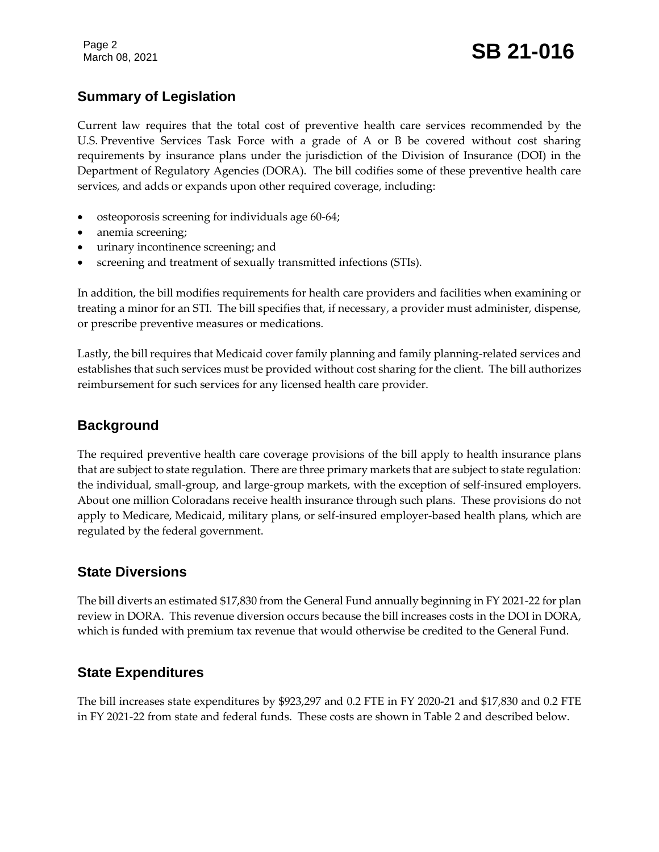### **Summary of Legislation**

Current law requires that the total cost of preventive health care services recommended by the U.S. Preventive Services Task Force with a grade of A or B be covered without cost sharing requirements by insurance plans under the jurisdiction of the Division of Insurance (DOI) in the Department of Regulatory Agencies (DORA). The bill codifies some of these preventive health care services, and adds or expands upon other required coverage, including:

- osteoporosis screening for individuals age 60-64;
- anemia screening;
- urinary incontinence screening; and
- screening and treatment of sexually transmitted infections (STIs).

In addition, the bill modifies requirements for health care providers and facilities when examining or treating a minor for an STI. The bill specifies that, if necessary, a provider must administer, dispense, or prescribe preventive measures or medications.

Lastly, the bill requires that Medicaid cover family planning and family planning-related services and establishes that such services must be provided without cost sharing for the client. The bill authorizes reimbursement for such services for any licensed health care provider.

### **Background**

The required preventive health care coverage provisions of the bill apply to health insurance plans that are subject to state regulation. There are three primary markets that are subject to state regulation: the individual, small-group, and large-group markets, with the exception of self-insured employers. About one million Coloradans receive health insurance through such plans. These provisions do not apply to Medicare, Medicaid, military plans, or self-insured employer-based health plans, which are regulated by the federal government.

### **State Diversions**

The bill diverts an estimated \$17,830 from the General Fund annually beginning in FY 2021-22 for plan review in DORA. This revenue diversion occurs because the bill increases costs in the DOI in DORA, which is funded with premium tax revenue that would otherwise be credited to the General Fund.

### **State Expenditures**

The bill increases state expenditures by \$923,297 and 0.2 FTE in FY 2020-21 and \$17,830 and 0.2 FTE in FY 2021-22 from state and federal funds. These costs are shown in Table 2 and described below.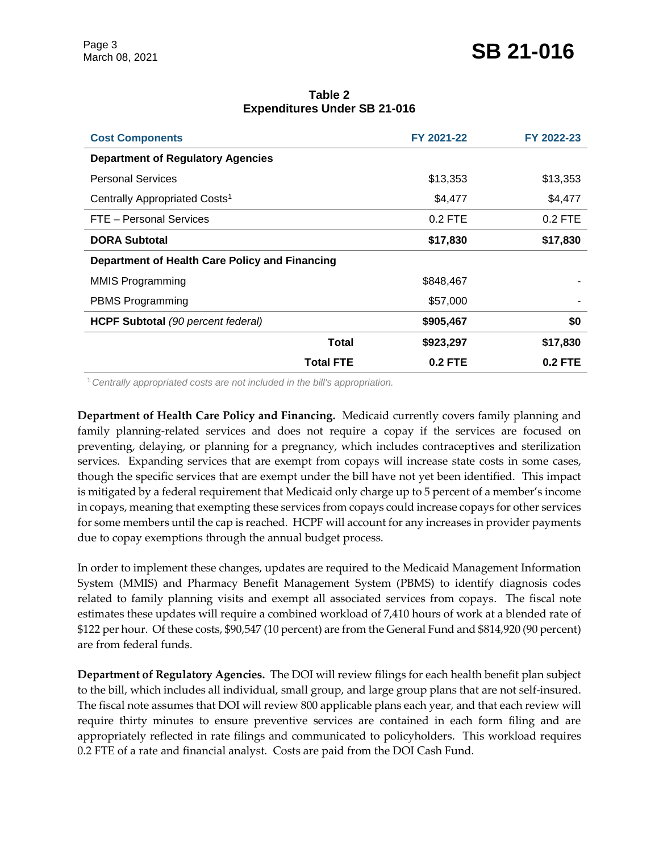| Table 2                             |  |  |  |  |  |
|-------------------------------------|--|--|--|--|--|
| <b>Expenditures Under SB 21-016</b> |  |  |  |  |  |

| <b>Cost Components</b>                         | FY 2021-22 | FY 2022-23 |
|------------------------------------------------|------------|------------|
| <b>Department of Regulatory Agencies</b>       |            |            |
| <b>Personal Services</b>                       | \$13,353   | \$13,353   |
| Centrally Appropriated Costs <sup>1</sup>      | \$4,477    | \$4,477    |
| FTE - Personal Services                        | $0.2$ FTE  | $0.2$ FTE  |
| <b>DORA Subtotal</b>                           | \$17,830   | \$17,830   |
| Department of Health Care Policy and Financing |            |            |
| <b>MMIS Programming</b>                        | \$848,467  |            |
| PBMS Programming                               | \$57,000   |            |
| <b>HCPF Subtotal</b> (90 percent federal)      | \$905,467  | \$0        |
| Total                                          | \$923,297  | \$17,830   |
| <b>Total FTE</b>                               | $0.2$ FTE  | $0.2$ FTE  |

<sup>1</sup>*Centrally appropriated costs are not included in the bill's appropriation.*

**Department of Health Care Policy and Financing.** Medicaid currently covers family planning and family planning-related services and does not require a copay if the services are focused on preventing, delaying, or planning for a pregnancy, which includes contraceptives and sterilization services. Expanding services that are exempt from copays will increase state costs in some cases, though the specific services that are exempt under the bill have not yet been identified. This impact is mitigated by a federal requirement that Medicaid only charge up to 5 percent of a member's income in copays, meaning that exempting these services from copays could increase copays for other services for some members until the cap is reached. HCPF will account for any increases in provider payments due to copay exemptions through the annual budget process.

In order to implement these changes, updates are required to the Medicaid Management Information System (MMIS) and Pharmacy Benefit Management System (PBMS) to identify diagnosis codes related to family planning visits and exempt all associated services from copays. The fiscal note estimates these updates will require a combined workload of 7,410 hours of work at a blended rate of \$122 per hour. Of these costs, \$90,547 (10 percent) are from the General Fund and \$814,920 (90 percent) are from federal funds.

**Department of Regulatory Agencies.** The DOI will review filings for each health benefit plan subject to the bill, which includes all individual, small group, and large group plans that are not self-insured. The fiscal note assumes that DOI will review 800 applicable plans each year, and that each review will require thirty minutes to ensure preventive services are contained in each form filing and are appropriately reflected in rate filings and communicated to policyholders. This workload requires 0.2 FTE of a rate and financial analyst. Costs are paid from the DOI Cash Fund.